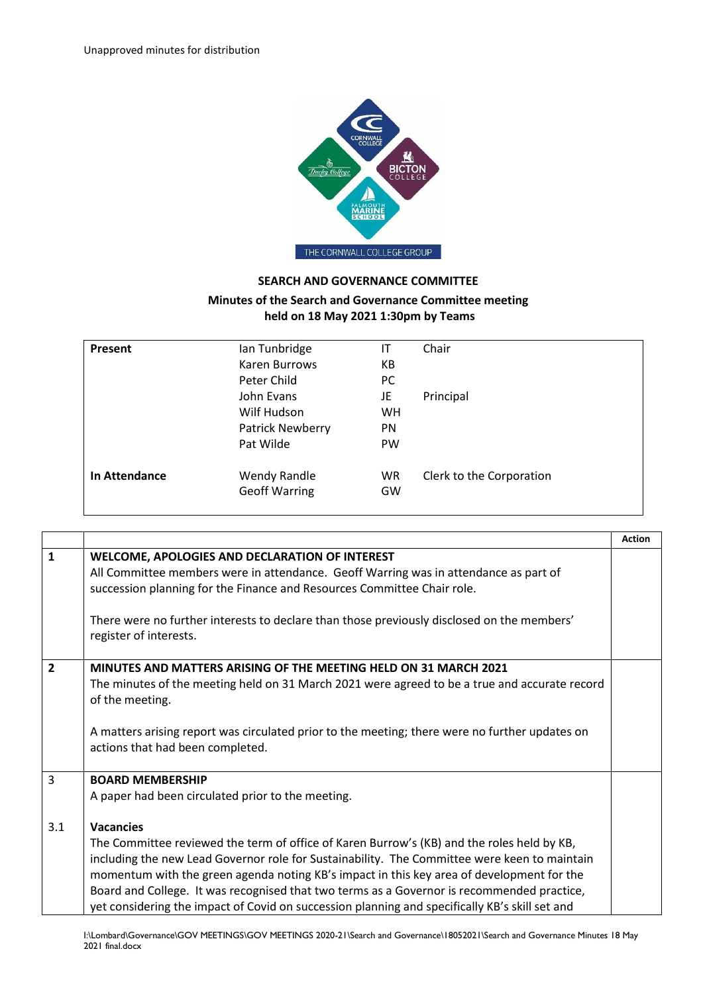

## **SEARCH AND GOVERNANCE COMMITTEE**

## **Minutes of the Search and Governance Committee meeting held on 18 May 2021 1:30pm by Teams**

| Present              | Ian Tunbridge        | IT        | Chair                    |
|----------------------|----------------------|-----------|--------------------------|
|                      | Karen Burrows        | КB        |                          |
|                      | Peter Child          | PC        |                          |
|                      | John Evans           | JE        | Principal                |
|                      | Wilf Hudson          | <b>WH</b> |                          |
|                      | Patrick Newberry     | <b>PN</b> |                          |
|                      | Pat Wilde            | <b>PW</b> |                          |
| <b>In Attendance</b> | Wendy Randle         | <b>WR</b> | Clerk to the Corporation |
|                      | <b>Geoff Warring</b> | GW        |                          |
|                      |                      |           |                          |

|                |                                                                                                                                                                                                                                                                                                                                                                                                                                                                                         | <b>Action</b> |
|----------------|-----------------------------------------------------------------------------------------------------------------------------------------------------------------------------------------------------------------------------------------------------------------------------------------------------------------------------------------------------------------------------------------------------------------------------------------------------------------------------------------|---------------|
| $\mathbf{1}$   | WELCOME, APOLOGIES AND DECLARATION OF INTEREST<br>All Committee members were in attendance. Geoff Warring was in attendance as part of<br>succession planning for the Finance and Resources Committee Chair role.<br>There were no further interests to declare than those previously disclosed on the members'<br>register of interests.                                                                                                                                               |               |
| $\overline{2}$ | MINUTES AND MATTERS ARISING OF THE MEETING HELD ON 31 MARCH 2021<br>The minutes of the meeting held on 31 March 2021 were agreed to be a true and accurate record<br>of the meeting.<br>A matters arising report was circulated prior to the meeting; there were no further updates on<br>actions that had been completed.                                                                                                                                                              |               |
| 3<br>3.1       | <b>BOARD MEMBERSHIP</b><br>A paper had been circulated prior to the meeting.<br><b>Vacancies</b>                                                                                                                                                                                                                                                                                                                                                                                        |               |
|                | The Committee reviewed the term of office of Karen Burrow's (KB) and the roles held by KB,<br>including the new Lead Governor role for Sustainability. The Committee were keen to maintain<br>momentum with the green agenda noting KB's impact in this key area of development for the<br>Board and College. It was recognised that two terms as a Governor is recommended practice,<br>yet considering the impact of Covid on succession planning and specifically KB's skill set and |               |

I:\Lombard\Governance\GOV MEETINGS\GOV MEETINGS 2020-21\Search and Governance\18052021\Search and Governance Minutes 18 May 2021 final.docx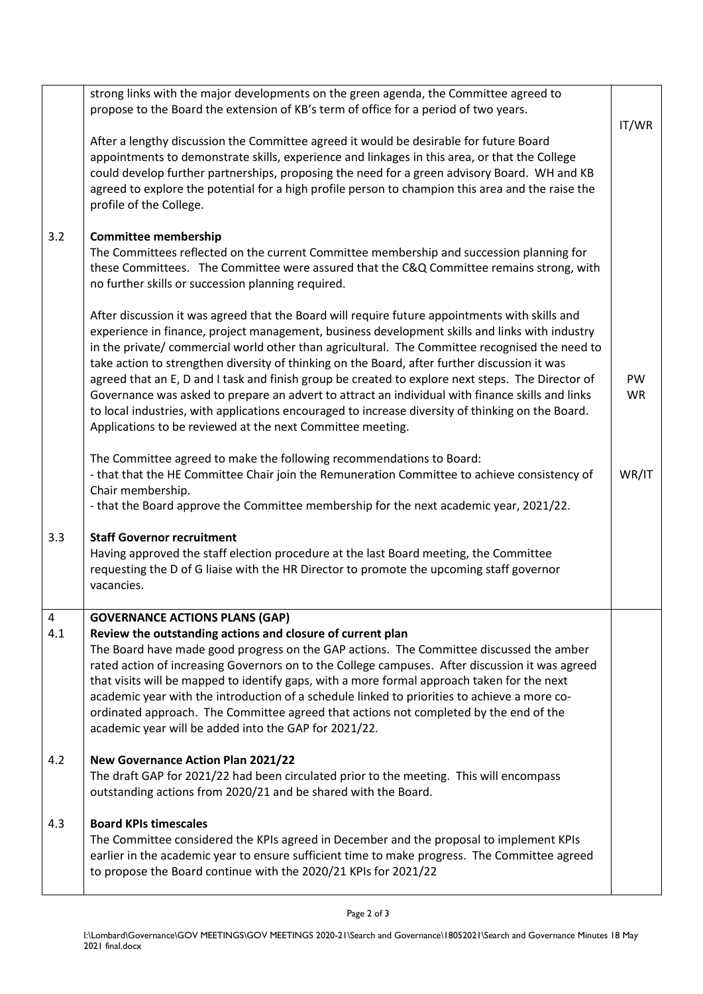|          | strong links with the major developments on the green agenda, the Committee agreed to<br>propose to the Board the extension of KB's term of office for a period of two years.                                                                                                                                                                                                                                                                                                                                                                                                                                                                                                                                                                                                   | IT/WR           |
|----------|---------------------------------------------------------------------------------------------------------------------------------------------------------------------------------------------------------------------------------------------------------------------------------------------------------------------------------------------------------------------------------------------------------------------------------------------------------------------------------------------------------------------------------------------------------------------------------------------------------------------------------------------------------------------------------------------------------------------------------------------------------------------------------|-----------------|
|          | After a lengthy discussion the Committee agreed it would be desirable for future Board<br>appointments to demonstrate skills, experience and linkages in this area, or that the College<br>could develop further partnerships, proposing the need for a green advisory Board. WH and KB<br>agreed to explore the potential for a high profile person to champion this area and the raise the<br>profile of the College.                                                                                                                                                                                                                                                                                                                                                         |                 |
| 3.2      | <b>Committee membership</b><br>The Committees reflected on the current Committee membership and succession planning for<br>these Committees. The Committee were assured that the C&Q Committee remains strong, with<br>no further skills or succession planning required.                                                                                                                                                                                                                                                                                                                                                                                                                                                                                                       |                 |
|          | After discussion it was agreed that the Board will require future appointments with skills and<br>experience in finance, project management, business development skills and links with industry<br>in the private/ commercial world other than agricultural. The Committee recognised the need to<br>take action to strengthen diversity of thinking on the Board, after further discussion it was<br>agreed that an E, D and I task and finish group be created to explore next steps. The Director of<br>Governance was asked to prepare an advert to attract an individual with finance skills and links<br>to local industries, with applications encouraged to increase diversity of thinking on the Board.<br>Applications to be reviewed at the next Committee meeting. | PW<br><b>WR</b> |
|          | The Committee agreed to make the following recommendations to Board:<br>- that that the HE Committee Chair join the Remuneration Committee to achieve consistency of<br>Chair membership.<br>- that the Board approve the Committee membership for the next academic year, 2021/22.                                                                                                                                                                                                                                                                                                                                                                                                                                                                                             | WR/IT           |
| 3.3      | <b>Staff Governor recruitment</b><br>Having approved the staff election procedure at the last Board meeting, the Committee<br>requesting the D of G liaise with the HR Director to promote the upcoming staff governor<br>vacancies.                                                                                                                                                                                                                                                                                                                                                                                                                                                                                                                                            |                 |
| 4<br>4.1 | <b>GOVERNANCE ACTIONS PLANS (GAP)</b><br>Review the outstanding actions and closure of current plan<br>The Board have made good progress on the GAP actions. The Committee discussed the amber<br>rated action of increasing Governors on to the College campuses. After discussion it was agreed<br>that visits will be mapped to identify gaps, with a more formal approach taken for the next<br>academic year with the introduction of a schedule linked to priorities to achieve a more co-<br>ordinated approach. The Committee agreed that actions not completed by the end of the<br>academic year will be added into the GAP for 2021/22.                                                                                                                              |                 |
| 4.2      | <b>New Governance Action Plan 2021/22</b><br>The draft GAP for 2021/22 had been circulated prior to the meeting. This will encompass<br>outstanding actions from 2020/21 and be shared with the Board.                                                                                                                                                                                                                                                                                                                                                                                                                                                                                                                                                                          |                 |
| 4.3      | <b>Board KPIs timescales</b><br>The Committee considered the KPIs agreed in December and the proposal to implement KPIs<br>earlier in the academic year to ensure sufficient time to make progress. The Committee agreed<br>to propose the Board continue with the 2020/21 KPIs for 2021/22                                                                                                                                                                                                                                                                                                                                                                                                                                                                                     |                 |